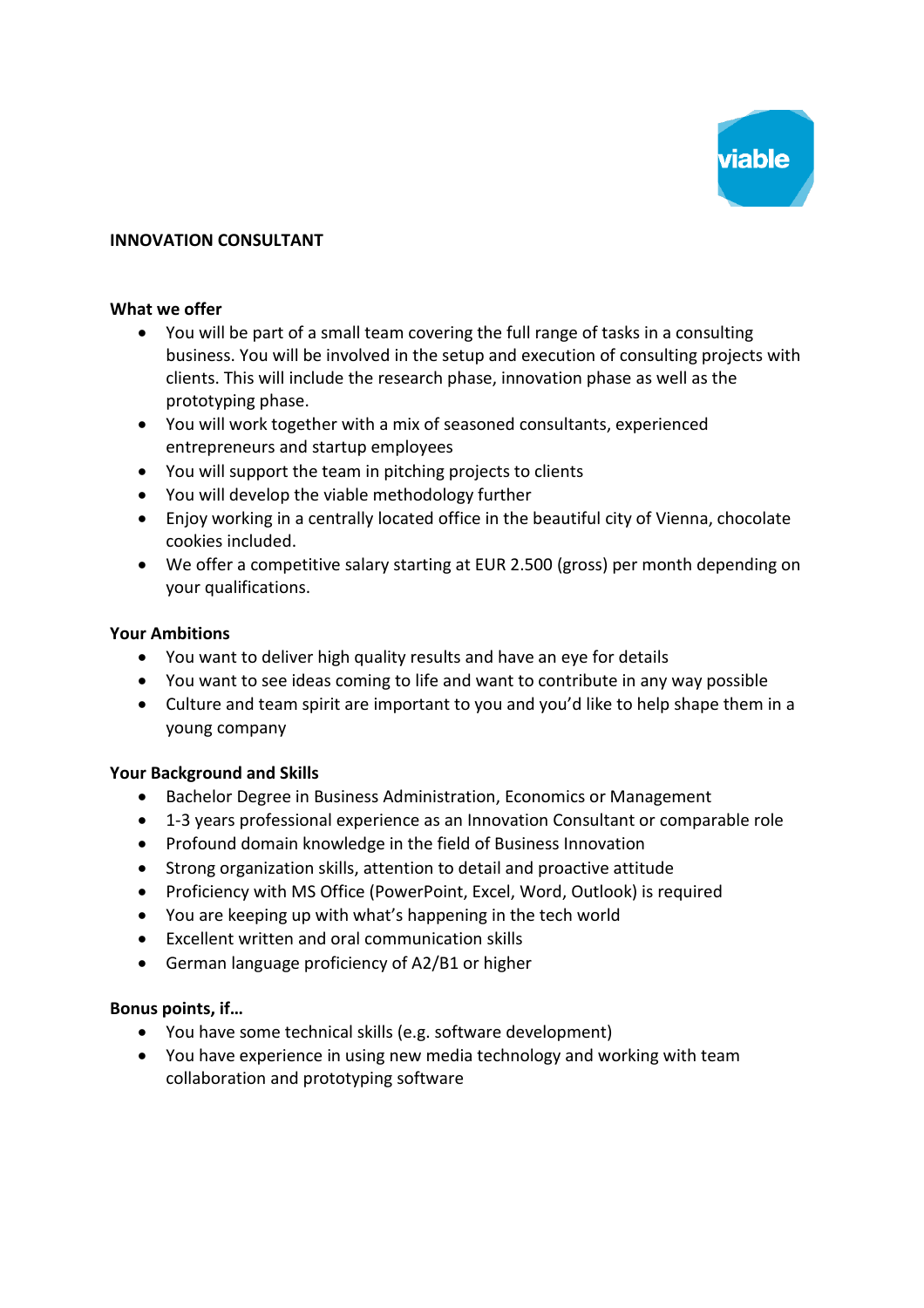

# **INNOVATION CONSULTANT**

#### **What we offer**

- You will be part of a small team covering the full range of tasks in a consulting business. You will be involved in the setup and execution of consulting projects with clients. This will include the research phase, innovation phase as well as the prototyping phase.
- You will work together with a mix of seasoned consultants, experienced entrepreneurs and startup employees
- You will support the team in pitching projects to clients
- You will develop the viable methodology further
- Enjoy working in a centrally located office in the beautiful city of Vienna, chocolate cookies included.
- We offer a competitive salary starting at EUR 2.500 (gross) per month depending on your qualifications.

## **Your Ambitions**

- You want to deliver high quality results and have an eye for details
- You want to see ideas coming to life and want to contribute in any way possible
- Culture and team spirit are important to you and you'd like to help shape them in a young company

## **Your Background and Skills**

- Bachelor Degree in Business Administration, Economics or Management
- 1-3 years professional experience as an Innovation Consultant or comparable role
- Profound domain knowledge in the field of Business Innovation
- Strong organization skills, attention to detail and proactive attitude
- Proficiency with MS Office (PowerPoint, Excel, Word, Outlook) is required
- You are keeping up with what's happening in the tech world
- Excellent written and oral communication skills
- German language proficiency of A2/B1 or higher

## **Bonus points, if…**

- You have some technical skills (e.g. software development)
- You have experience in using new media technology and working with team collaboration and prototyping software